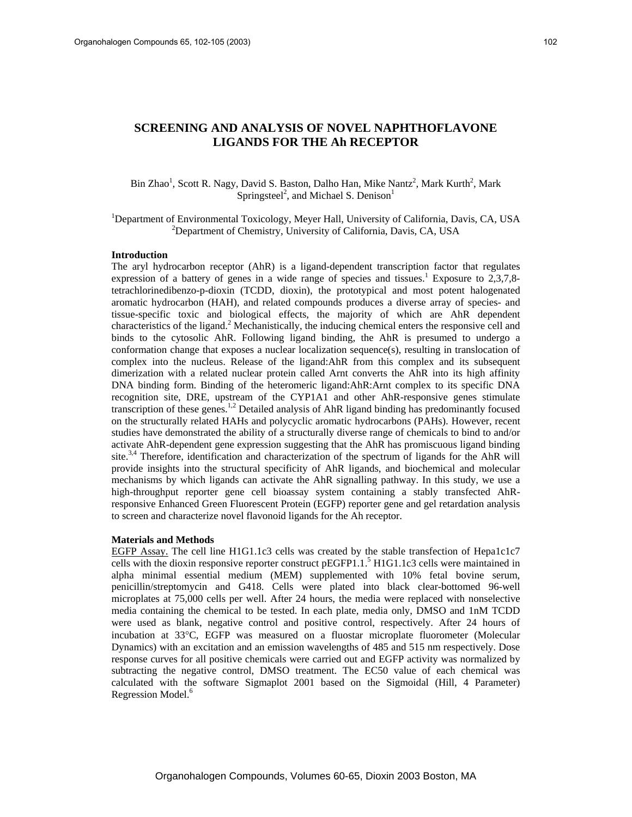# **SCREENING AND ANALYSIS OF NOVEL NAPHTHOFLAVONE LIGANDS FOR THE Ah RECEPTOR**

## Bin Zhao<sup>1</sup>, Scott R. Nagy, David S. Baston, Dalho Han, Mike Nantz<sup>2</sup>, Mark Kurth<sup>2</sup>, Mark Springsteel<sup>2</sup>, and Michael S. Denison<sup>1</sup>

<sup>1</sup>Department of Environmental Toxicology, Meyer Hall, University of California, Davis, CA, USA<br><sup>2</sup>Department of Chamistry, University of California, Davis, CA, USA <sup>2</sup>Department of Chemistry, University of California, Davis, CA, USA

### **Introduction**

The aryl hydrocarbon receptor (AhR) is a ligand-dependent transcription factor that regulates expression of a battery of genes in a wide range of species and tissues.<sup>1</sup> Exposure to  $2,3,7,8$ tetrachlorinedibenzo-p-dioxin (TCDD, dioxin), the prototypical and most potent halogenated aromatic hydrocarbon (HAH), and related compounds produces a diverse array of species- and tissue-specific toxic and biological effects, the majority of which are AhR dependent characteristics of the ligand.<sup>2</sup> Mechanistically, the inducing chemical enters the responsive cell and binds to the cytosolic AhR. Following ligand binding, the AhR is presumed to undergo a conformation change that exposes a nuclear localization sequence(s), resulting in translocation of complex into the nucleus. Release of the ligand:AhR from this complex and its subsequent dimerization with a related nuclear protein called Arnt converts the AhR into its high affinity DNA binding form. Binding of the heteromeric ligand:AhR:Arnt complex to its specific DNA recognition site, DRE, upstream of the CYP1A1 and other AhR-responsive genes stimulate transcription of these genes.<sup>1,2</sup> Detailed analysis of AhR ligand binding has predominantly focused on the structurally related HAHs and polycyclic aromatic hydrocarbons (PAHs). However, recent studies have demonstrated the ability of a structurally diverse range of chemicals to bind to and/or activate AhR-dependent gene expression suggesting that the AhR has promiscuous ligand binding site.<sup>3,4</sup> Therefore, identification and characterization of the spectrum of ligands for the AhR will provide insights into the structural specificity of AhR ligands, and biochemical and molecular mechanisms by which ligands can activate the AhR signalling pathway. In this study, we use a high-throughput reporter gene cell bioassay system containing a stably transfected AhRresponsive Enhanced Green Fluorescent Protein (EGFP) reporter gene and gel retardation analysis to screen and characterize novel flavonoid ligands for the Ah receptor.

#### **Materials and Methods**

EGFP Assay. The cell line H1G1.1c3 cells was created by the stable transfection of Hepa1c1c7 cells with the dioxin responsive reporter construct pEGFP1.1.<sup>5</sup> H1G1.1c3 cells were maintained in alpha minimal essential medium (MEM) supplemented with 10% fetal bovine serum, penicillin/streptomycin and G418. Cells were plated into black clear-bottomed 96-well microplates at 75,000 cells per well. After 24 hours, the media were replaced with nonselective media containing the chemical to be tested. In each plate, media only, DMSO and 1nM TCDD were used as blank, negative control and positive control, respectively. After 24 hours of incubation at 33°C, EGFP was measured on a fluostar microplate fluorometer (Molecular Dynamics) with an excitation and an emission wavelengths of 485 and 515 nm respectively. Dose response curves for all positive chemicals were carried out and EGFP activity was normalized by subtracting the negative control, DMSO treatment. The EC50 value of each chemical was calculated with the software Sigmaplot 2001 based on the Sigmoidal (Hill, 4 Parameter) Regression Model.<sup>6</sup>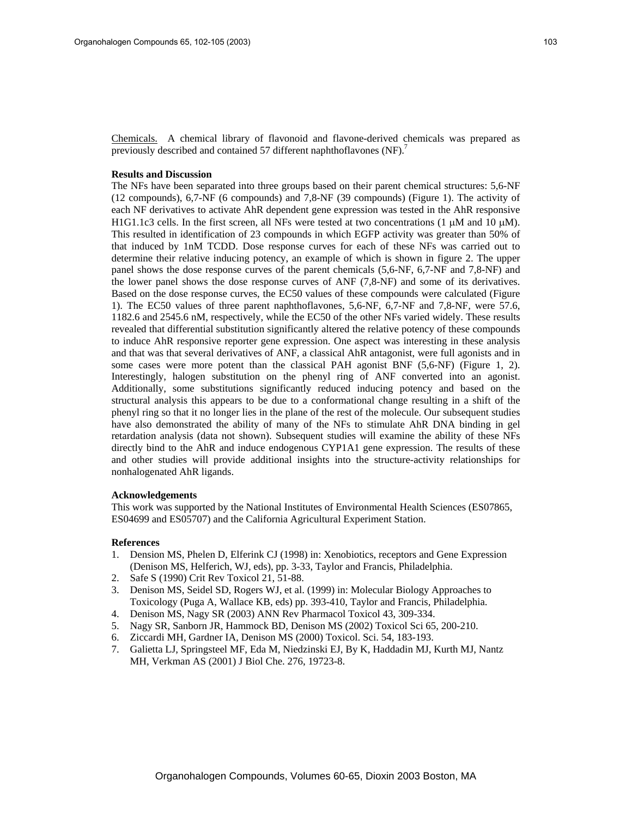Chemicals. A chemical library of flavonoid and flavone-derived chemicals was prepared as previously described and contained 57 different naphthoflavones (NF).<sup>7</sup>

## **Results and Discussion**

The NFs have been separated into three groups based on their parent chemical structures: 5,6-NF (12 compounds), 6,7-NF (6 compounds) and 7,8-NF (39 compounds) (Figure 1). The activity of each NF derivatives to activate AhR dependent gene expression was tested in the AhR responsive H1G1.1c3 cells. In the first screen, all NFs were tested at two concentrations (1  $\mu$ M and 10  $\mu$ M). This resulted in identification of 23 compounds in which EGFP activity was greater than 50% of that induced by 1nM TCDD. Dose response curves for each of these NFs was carried out to determine their relative inducing potency, an example of which is shown in figure 2. The upper panel shows the dose response curves of the parent chemicals (5,6-NF, 6,7-NF and 7,8-NF) and the lower panel shows the dose response curves of ANF (7,8-NF) and some of its derivatives. Based on the dose response curves, the EC50 values of these compounds were calculated (Figure 1). The EC50 values of three parent naphthoflavones, 5,6-NF, 6,7-NF and 7,8-NF, were 57.6, 1182.6 and 2545.6 nM, respectively, while the EC50 of the other NFs varied widely. These results revealed that differential substitution significantly altered the relative potency of these compounds to induce AhR responsive reporter gene expression. One aspect was interesting in these analysis and that was that several derivatives of ANF, a classical AhR antagonist, were full agonists and in some cases were more potent than the classical PAH agonist BNF (5,6-NF) (Figure 1, 2). Interestingly, halogen substitution on the phenyl ring of ANF converted into an agonist. Additionally, some substitutions significantly reduced inducing potency and based on the structural analysis this appears to be due to a conformational change resulting in a shift of the phenyl ring so that it no longer lies in the plane of the rest of the molecule. Our subsequent studies have also demonstrated the ability of many of the NFs to stimulate AhR DNA binding in gel retardation analysis (data not shown). Subsequent studies will examine the ability of these NFs directly bind to the AhR and induce endogenous CYP1A1 gene expression. The results of these and other studies will provide additional insights into the structure-activity relationships for nonhalogenated AhR ligands.

## **Acknowledgements**

This work was supported by the National Institutes of Environmental Health Sciences (ES07865, ES04699 and ES05707) and the California Agricultural Experiment Station.

#### **References**

- 1. Dension MS, Phelen D, Elferink CJ (1998) in: Xenobiotics, receptors and Gene Expression (Denison MS, Helferich, WJ, eds), pp. 3-33, Taylor and Francis, Philadelphia.
- 2. Safe S (1990) Crit Rev Toxicol 21, 51-88.
- 3. Denison MS, Seidel SD, Rogers WJ, et al. (1999) in: Molecular Biology Approaches to Toxicology (Puga A, Wallace KB, eds) pp. 393-410, Taylor and Francis, Philadelphia.
- 4. Denison MS, Nagy SR (2003) ANN Rev Pharmacol Toxicol 43, 309-334.
- 5. Nagy SR, Sanborn JR, Hammock BD, Denison MS (2002) Toxicol Sci 65, 200-210.
- 6. Ziccardi MH, Gardner IA, Denison MS (2000) Toxicol. Sci. 54, 183-193.
- 7. Galietta LJ, Springsteel MF, Eda M, Niedzinski EJ, By K, Haddadin MJ, Kurth MJ, Nantz MH, Verkman AS (2001) J Biol Che. 276, 19723-8.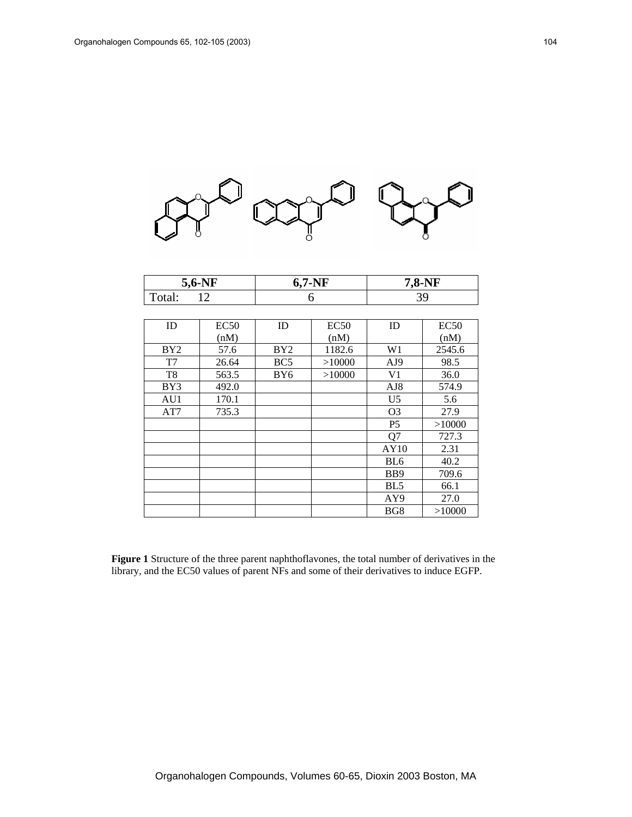

| $\mathbf{v}$<br>$5.0 -$ | -NF<br>o. | .8-NF |  |
|-------------------------|-----------|-------|--|
| uiai.                   |           | ຼ     |  |

| ID              | <b>EC50</b> | ID              | <b>EC50</b> | ID              | EC50   |
|-----------------|-------------|-----------------|-------------|-----------------|--------|
|                 | (nM)        |                 | (nM)        |                 | (nM)   |
| BY <sub>2</sub> | 57.6        | BY2             | 1182.6      | W <sub>1</sub>  | 2545.6 |
| T7              | 26.64       | BC <sub>5</sub> | >10000      | AJ9             | 98.5   |
| T <sub>8</sub>  | 563.5       | BY <sub>6</sub> | >10000      | V1              | 36.0   |
| BY3             | 492.0       |                 |             | AJ <sub>8</sub> | 574.9  |
| AU1             | 170.1       |                 |             | U <sub>5</sub>  | 5.6    |
| AT7             | 735.3       |                 |             | O <sub>3</sub>  | 27.9   |
|                 |             |                 |             | P <sub>5</sub>  | >10000 |
|                 |             |                 |             | Q7              | 727.3  |
|                 |             |                 |             | AY10            | 2.31   |
|                 |             |                 |             | BL <sub>6</sub> | 40.2   |
|                 |             |                 |             | B <sub>B9</sub> | 709.6  |
|                 |             |                 |             | BL <sub>5</sub> | 66.1   |
|                 |             |                 |             | AY9             | 27.0   |
|                 |             |                 |             | BG8             | >10000 |

**Figure 1** Structure of the three parent naphthoflavones, the total number of derivatives in the library, and the EC50 values of parent NFs and some of their derivatives to induce EGFP.